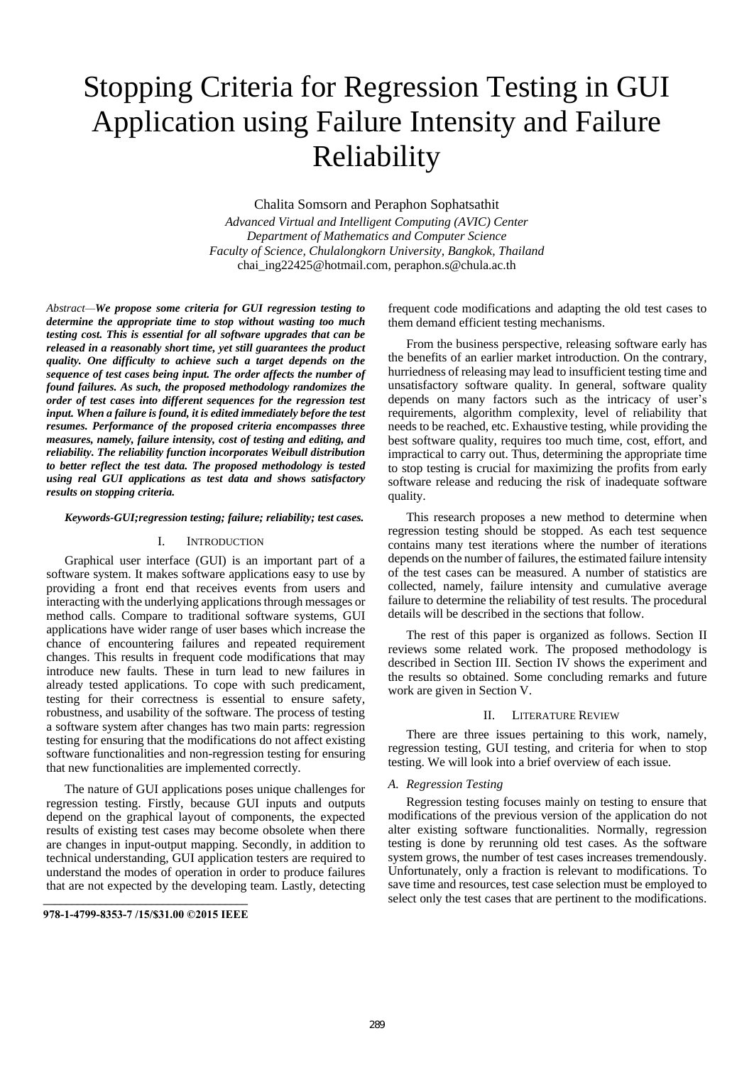# Stopping Criteria for Regression Testing in GUI Application using Failure Intensity and Failure Reliability

Chalita Somsorn and Peraphon Sophatsathit

*Advanced Virtual and Intelligent Computing (AVIC) Center Department of Mathematics and Computer Science Faculty of Science, Chulalongkorn University, Bangkok, Thailand*  chai\_ing22425@hotmail.com, peraphon.s@chula.ac.th

*Abstract—We propose some criteria for GUI regression testing to determine the appropriate time to stop without wasting too much testing cost. This is essential for all software upgrades that can be released in a reasonably short time, yet still guarantees the product quality. One difficulty to achieve such a target depends on the sequence of test cases being input. The order affects the number of found failures. As such, the proposed methodology randomizes the order of test cases into different sequences for the regression test input. When a failure is found, it is edited immediately before the test resumes. Performance of the proposed criteria encompasses three measures, namely, failure intensity, cost of testing and editing, and reliability. The reliability function incorporates Weibull distribution to better reflect the test data. The proposed methodology is tested using real GUI applications as test data and shows satisfactory results on stopping criteria.*

# *Keywords-GUI;regression testing; failure; reliability; test cases.*

#### I. INTRODUCTION

Graphical user interface (GUI) is an important part of a software system. It makes software applications easy to use by providing a front end that receives events from users and interacting with the underlying applications through messages or method calls. Compare to traditional software systems, GUI applications have wider range of user bases which increase the chance of encountering failures and repeated requirement changes. This results in frequent code modifications that may introduce new faults. These in turn lead to new failures in already tested applications. To cope with such predicament, testing for their correctness is essential to ensure safety, robustness, and usability of the software. The process of testing a software system after changes has two main parts: regression testing for ensuring that the modifications do not affect existing software functionalities and non-regression testing for ensuring that new functionalities are implemented correctly.

The nature of GUI applications poses unique challenges for regression testing. Firstly, because GUI inputs and outputs depend on the graphical layout of components, the expected results of existing test cases may become obsolete when there are changes in input-output mapping. Secondly, in addition to technical understanding, GUI application testers are required to understand the modes of operation in order to produce failures that are not expected by the developing team. Lastly, detecting

**978-1-4799-8353-7 /15/\$31.00 ©2015 IEEE** 

frequent code modifications and adapting the old test cases to them demand efficient testing mechanisms.

From the business perspective, releasing software early has the benefits of an earlier market introduction. On the contrary, hurriedness of releasing may lead to insufficient testing time and unsatisfactory software quality. In general, software quality depends on many factors such as the intricacy of user's requirements, algorithm complexity, level of reliability that needs to be reached, etc. Exhaustive testing, while providing the best software quality, requires too much time, cost, effort, and impractical to carry out. Thus, determining the appropriate time to stop testing is crucial for maximizing the profits from early software release and reducing the risk of inadequate software quality.

This research proposes a new method to determine when regression testing should be stopped. As each test sequence contains many test iterations where the number of iterations depends on the number of failures, the estimated failure intensity of the test cases can be measured. A number of statistics are collected, namely, failure intensity and cumulative average failure to determine the reliability of test results. The procedural details will be described in the sections that follow.

The rest of this paper is organized as follows. Section II reviews some related work. The proposed methodology is described in Section III. Section IV shows the experiment and the results so obtained. Some concluding remarks and future work are given in Section V.

#### II. LITERATURE REVIEW

There are three issues pertaining to this work, namely, regression testing, GUI testing, and criteria for when to stop testing. We will look into a brief overview of each issue.

# *A. Regression Testing*

Regression testing focuses mainly on testing to ensure that modifications of the previous version of the application do not alter existing software functionalities. Normally, regression testing is done by rerunning old test cases. As the software system grows, the number of test cases increases tremendously. Unfortunately, only a fraction is relevant to modifications. To save time and resources, test case selection must be employed to select only the test cases that are pertinent to the modifications.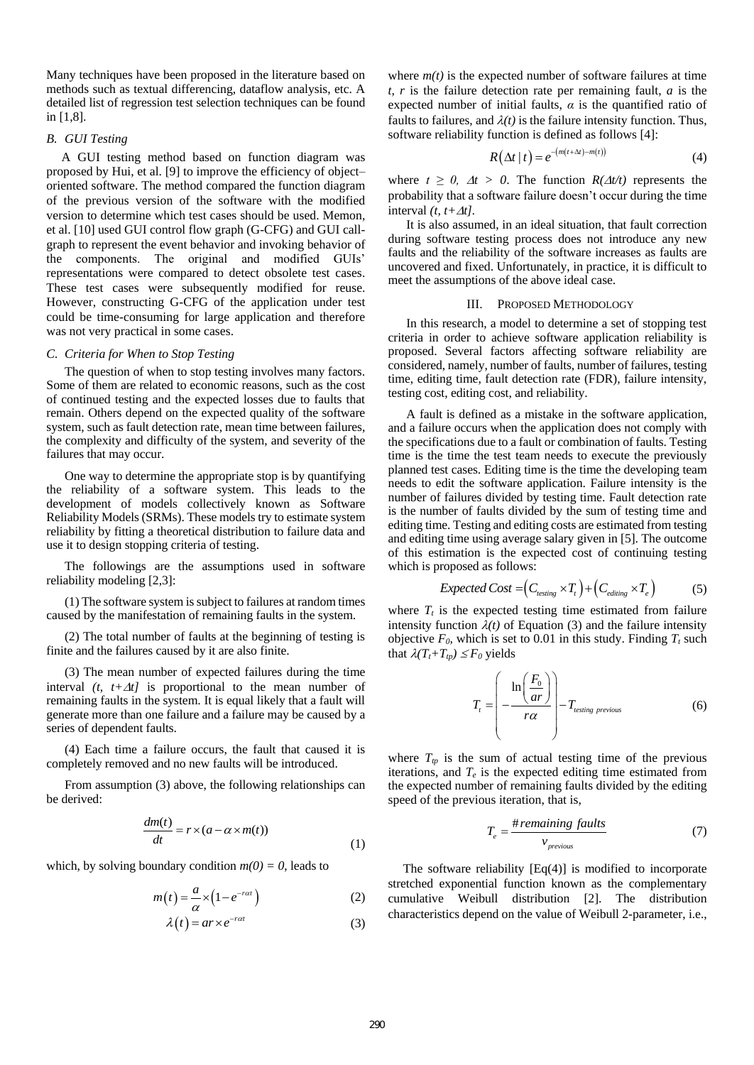Many techniques have been proposed in the literature based on methods such as textual differencing, dataflow analysis, etc. A detailed list of regression test selection techniques can be found in [1,8].

## *B. GUI Testing*

A GUI testing method based on function diagram was proposed by Hui, et al. [9] to improve the efficiency of object– oriented software. The method compared the function diagram of the previous version of the software with the modified version to determine which test cases should be used. Memon, et al. [10] used GUI control flow graph (G-CFG) and GUI callgraph to represent the event behavior and invoking behavior of the components. The original and modified GUIs' representations were compared to detect obsolete test cases. These test cases were subsequently modified for reuse. However, constructing G-CFG of the application under test could be time-consuming for large application and therefore was not very practical in some cases.

# *C. Criteria for When to Stop Testing*

The question of when to stop testing involves many factors. Some of them are related to economic reasons, such as the cost of continued testing and the expected losses due to faults that remain. Others depend on the expected quality of the software system, such as fault detection rate, mean time between failures, the complexity and difficulty of the system, and severity of the failures that may occur.

One way to determine the appropriate stop is by quantifying the reliability of a software system. This leads to the development of models collectively known as Software Reliability Models (SRMs). These models try to estimate system reliability by fitting a theoretical distribution to failure data and use it to design stopping criteria of testing.

The followings are the assumptions used in software reliability modeling [2,3]:

(1) The software system is subject to failures at random times caused by the manifestation of remaining faults in the system.

(2) The total number of faults at the beginning of testing is finite and the failures caused by it are also finite.

(3) The mean number of expected failures during the time interval  $(t, t+\Delta t)$  is proportional to the mean number of remaining faults in the system. It is equal likely that a fault will generate more than one failure and a failure may be caused by a series of dependent faults.

(4) Each time a failure occurs, the fault that caused it is completely removed and no new faults will be introduced.

From assumption (3) above, the following relationships can be derived:

$$
\frac{dm(t)}{dt} = r \times (a - \alpha \times m(t))
$$
\n(1)

which, by solving boundary condition  $m(0) = 0$ , leads to

$$
m(t) = \frac{a}{\alpha} \times (1 - e^{-r\alpha t})
$$
 (2)

$$
\lambda(t) = ar \times e^{-r\alpha t} \tag{3}
$$

where  $m(t)$  is the expected number of software failures at time *t*, *r* is the failure detection rate per remaining fault, *a* is the expected number of initial faults, *α* is the quantified ratio of faults to failures, and  $\lambda(t)$  is the failure intensity function. Thus, software reliability function is defined as follows [4]:

$$
R(\Delta t \mid t) = e^{-(m(t+\Delta t) - m(t))} \tag{4}
$$

where  $t \geq 0$ ,  $\Delta t > 0$ . The function  $R(\Delta t/t)$  represents the probability that a software failure doesn't occur during the time interval  $(t, t+\Delta t)$ .

It is also assumed, in an ideal situation, that fault correction during software testing process does not introduce any new faults and the reliability of the software increases as faults are uncovered and fixed. Unfortunately, in practice, it is difficult to meet the assumptions of the above ideal case.

## III. PROPOSED METHODOLOGY

In this research, a model to determine a set of stopping test criteria in order to achieve software application reliability is proposed. Several factors affecting software reliability are considered, namely, number of faults, number of failures, testing time, editing time, fault detection rate (FDR), failure intensity, testing cost, editing cost, and reliability.

A fault is defined as a mistake in the software application, and a failure occurs when the application does not comply with the specifications due to a fault or combination of faults. Testing time is the time the test team needs to execute the previously planned test cases. Editing time is the time the developing team needs to edit the software application. Failure intensity is the number of failures divided by testing time. Fault detection rate is the number of faults divided by the sum of testing time and editing time. Testing and editing costs are estimated from testing and editing time using average salary given in [5]. The outcome of this estimation is the expected cost of continuing testing which is proposed as follows:

toposeu as follows:

\n
$$
Expected Cost = \left( C_{testing} \times T_t \right) + \left( C_{editing} \times T_e \right) \tag{5}
$$

where  $T_t$  is the expected testing time estimated from failure intensity function  $\lambda(t)$  of Equation (3) and the failure intensity objective  $F_0$ , which is set to 0.01 in this study. Finding  $T_t$  such that  $\lambda(T_t+T_{tp}) \leq F_0$  yields

$$
T_{t} = \left(-\frac{\ln\left(\frac{F_{0}}{ar}\right)}{r\alpha}\right) - T_{\text{testing previous}}
$$
 (6)

where  $T_{tp}$  is the sum of actual testing time of the previous iterations, and  $T_e$  is the expected editing time estimated from the expected number of remaining faults divided by the editing speed of the previous iteration, that is,

$$
T_e = \frac{\text{\# remaining faults}}{v_{previous}} \tag{7}
$$

The software reliability [Eq(4)] is modified to incorporate stretched exponential function known as the complementary cumulative Weibull distribution [2]. The distribution characteristics depend on the value of Weibull 2-parameter, i.e.,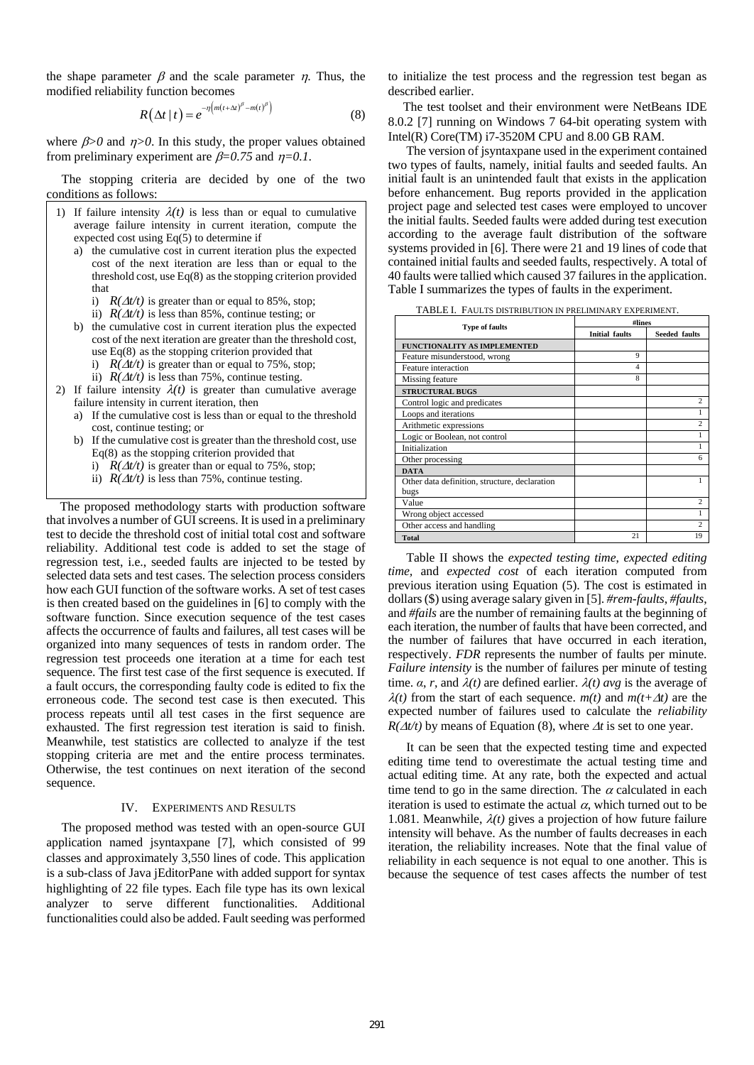the shape parameter  $\beta$  and the scale parameter  $\eta$ . Thus, the modified reliability function becomes

$$
R(\Delta t \mid t) = e^{-\eta \left( m(t + \Delta t)^{\beta} - m(t)^{\beta} \right)}
$$
\n(8)

where  $\beta > 0$  and  $\eta > 0$ . In this study, the proper values obtained from preliminary experiment are  $\beta = 0.75$  and  $\eta = 0.1$ .

The stopping criteria are decided by one of the two conditions as follows:

| 1) If failure intensity $\lambda(t)$ is less than or equal to cumulative |  |  |  |  |  |  |  |  |  |
|--------------------------------------------------------------------------|--|--|--|--|--|--|--|--|--|
| average failure intensity in current iteration, compute the              |  |  |  |  |  |  |  |  |  |
| expected cost using $Eq(5)$ to determine if                              |  |  |  |  |  |  |  |  |  |
| a) the cumulative cost in current iteration plus the expected            |  |  |  |  |  |  |  |  |  |
| cost of the next iteration are less than or equal to the                 |  |  |  |  |  |  |  |  |  |

cost of the next iteration are less than or equal to the threshold cost, use Eq(8) as the stopping criterion provided that

i)  $R(\Delta t/t)$  is greater than or equal to 85%, stop;

- ii)  $R(\Delta t/t)$  is less than 85%, continue testing; or
- b) the cumulative cost in current iteration plus the expected cost of the next iteration are greater than the threshold cost, use Eq(8) as the stopping criterion provided that
	- i)  $R(\Delta t/t)$  is greater than or equal to 75%, stop;
	- ii)  $R(\Delta t/t)$  is less than 75%, continue testing.
- 2) If failure intensity  $\lambda(t)$  is greater than cumulative average failure intensity in current iteration, then
	- a) If the cumulative cost is less than or equal to the threshold cost, continue testing; or
	- b) If the cumulative cost is greater than the threshold cost, use Eq(8) as the stopping criterion provided that
		- i)  $R(\Delta t/t)$  is greater than or equal to 75%, stop;
		- ii)  $R(\Delta t/t)$  is less than 75%, continue testing.

The proposed methodology starts with production software that involves a number of GUI screens. It is used in a preliminary test to decide the threshold cost of initial total cost and software reliability. Additional test code is added to set the stage of regression test, i.e., seeded faults are injected to be tested by selected data sets and test cases. The selection process considers how each GUI function of the software works. A set of test cases is then created based on the guidelines in [6] to comply with the software function. Since execution sequence of the test cases affects the occurrence of faults and failures, all test cases will be organized into many sequences of tests in random order. The regression test proceeds one iteration at a time for each test sequence. The first test case of the first sequence is executed. If a fault occurs, the corresponding faulty code is edited to fix the erroneous code. The second test case is then executed. This process repeats until all test cases in the first sequence are exhausted. The first regression test iteration is said to finish. Meanwhile, test statistics are collected to analyze if the test stopping criteria are met and the entire process terminates. Otherwise, the test continues on next iteration of the second sequence.

## IV. EXPERIMENTS AND RESULTS

The proposed method was tested with an open-source GUI application named jsyntaxpane [7], which consisted of 99 classes and approximately 3,550 lines of code. This application is a sub-class of Java jEditorPane with added support for syntax highlighting of 22 file types. Each file type has its own lexical analyzer to serve different functionalities. Additional functionalities could also be added. Fault seeding was performed

to initialize the test process and the regression test began as described earlier.

The test toolset and their environment were NetBeans IDE 8.0.2 [7] running on Windows 7 64-bit operating system with Intel(R) Core(TM) i7-3520M CPU and 8.00 GB RAM.

The version of jsyntaxpane used in the experiment contained two types of faults, namely, initial faults and seeded faults. An initial fault is an unintended fault that exists in the application before enhancement. Bug reports provided in the application project page and selected test cases were employed to uncover the initial faults. Seeded faults were added during test execution according to the average fault distribution of the software systems provided in [6]. There were 21 and 19 lines of code that contained initial faults and seeded faults, respectively. A total of 40 faults were tallied which caused 37 failures in the application. Table I summarizes the types of faults in the experiment.

TABLE I. FAULTS DISTRIBUTION IN PRELIMINARY EXPERIMENT.

| <b>Type of faults</b>                         | #lines                |                |  |  |  |  |  |  |
|-----------------------------------------------|-----------------------|----------------|--|--|--|--|--|--|
|                                               | <b>Initial faults</b> | Seeded faults  |  |  |  |  |  |  |
| FUNCTIONALITY AS IMPLEMENTED                  |                       |                |  |  |  |  |  |  |
| Feature misunderstood, wrong                  | 9                     |                |  |  |  |  |  |  |
| Feature interaction                           | 4                     |                |  |  |  |  |  |  |
| Missing feature                               | 8                     |                |  |  |  |  |  |  |
| <b>STRUCTURAL BUGS</b>                        |                       |                |  |  |  |  |  |  |
| Control logic and predicates                  |                       | $\overline{c}$ |  |  |  |  |  |  |
| Loops and iterations                          |                       |                |  |  |  |  |  |  |
| Arithmetic expressions                        |                       | $\mathfrak{D}$ |  |  |  |  |  |  |
| Logic or Boolean, not control                 |                       |                |  |  |  |  |  |  |
| Initialization                                |                       |                |  |  |  |  |  |  |
| Other processing                              |                       | 6              |  |  |  |  |  |  |
| <b>DATA</b>                                   |                       |                |  |  |  |  |  |  |
| Other data definition, structure, declaration |                       |                |  |  |  |  |  |  |
| bugs                                          |                       |                |  |  |  |  |  |  |
| Value                                         |                       | $\overline{c}$ |  |  |  |  |  |  |
| Wrong object accessed                         |                       |                |  |  |  |  |  |  |
| Other access and handling                     |                       | $\overline{c}$ |  |  |  |  |  |  |
| <b>Total</b>                                  | 21                    | 19             |  |  |  |  |  |  |

Table II shows the *expected testing time*, *expected editing time,* and *expected cost* of each iteration computed from previous iteration using Equation (5). The cost is estimated in dollars (\$) using average salary given in [5]. *#rem-faults*, *#faults*, and *#fails* are the number of remaining faults at the beginning of each iteration, the number of faults that have been corrected, and the number of failures that have occurred in each iteration, respectively. *FDR* represents the number of faults per minute. *Failure intensity* is the number of failures per minute of testing time.  $\alpha$ , *r*, and  $\lambda(t)$  are defined earlier.  $\lambda(t)$  avg is the average of  $\lambda(t)$  from the start of each sequence. *m(t)* and *m(t+* $\Delta t$ *)* are the expected number of failures used to calculate the *reliability*  $R(\Delta t/t)$  by means of Equation (8), where  $\Delta t$  is set to one year.

It can be seen that the expected testing time and expected editing time tend to overestimate the actual testing time and actual editing time. At any rate, both the expected and actual time tend to go in the same direction. The  $\alpha$  calculated in each iteration is used to estimate the actual  $\alpha$ , which turned out to be 1.081. Meanwhile,  $\lambda(t)$  gives a projection of how future failure intensity will behave. As the number of faults decreases in each iteration, the reliability increases. Note that the final value of reliability in each sequence is not equal to one another. This is because the sequence of test cases affects the number of test